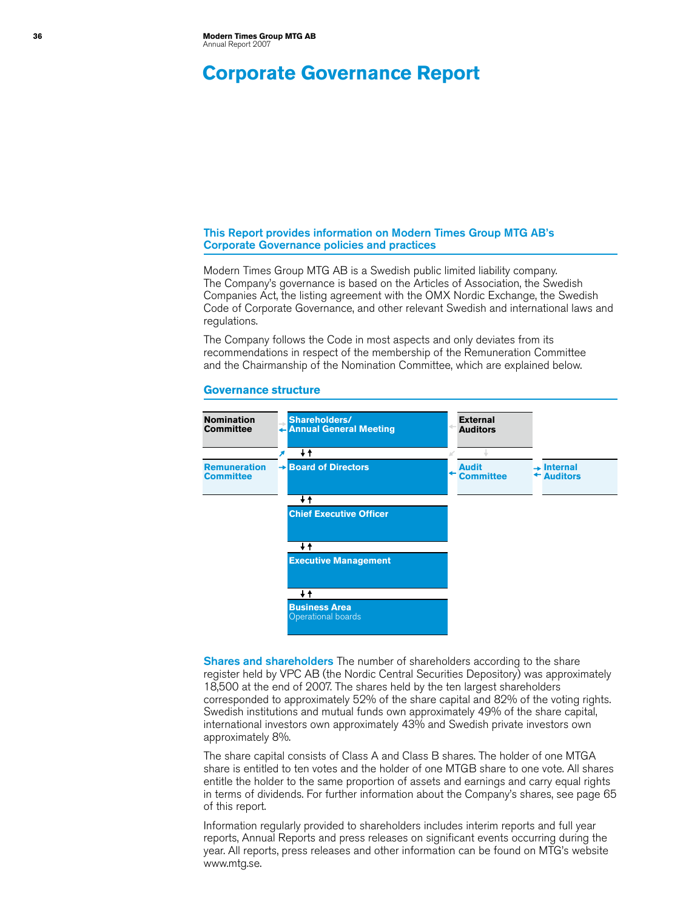# **Corporate Governance Report**

### This Report provides information on Modern Times Group MTG AB's Corporate Governance policies and practices

Modern Times Group MTG AB is a Swedish public limited liability company. The Company's governance is based on the Articles of Association, the Swedish Companies Act, the listing agreement with the OMX Nordic Exchange, the Swedish Code of Corporate Governance, and other relevant Swedish and international laws and regulations.

The Company follows the Code in most aspects and only deviates from its recommendations in respect of the membership of the Remuneration Committee and the Chairmanship of the Nomination Committee, which are explained below.

#### **Governance structure**



Shares and shareholders The number of shareholders according to the share register held by VPC AB (the Nordic Central Securities Depository) was approximately 18,500 at the end of 2007. The shares held by the ten largest shareholders corresponded to approximately 52% of the share capital and 82% of the voting rights. Swedish institutions and mutual funds own approximately 49% of the share capital, international investors own approximately 43% and Swedish private investors own approximately 8%.

The share capital consists of Class A and Class B shares. The holder of one MTGA share is entitled to ten votes and the holder of one MTGB share to one vote. All shares entitle the holder to the same proportion of assets and earnings and carry equal rights in terms of dividends. For further information about the Company's shares, see page 65 of this report.

Information regularly provided to shareholders includes interim reports and full year reports, Annual Reports and press releases on significant events occurring during the year. All reports, press releases and other information can be found on MTG's website [www.mtg.se.](http://www.mtg.se)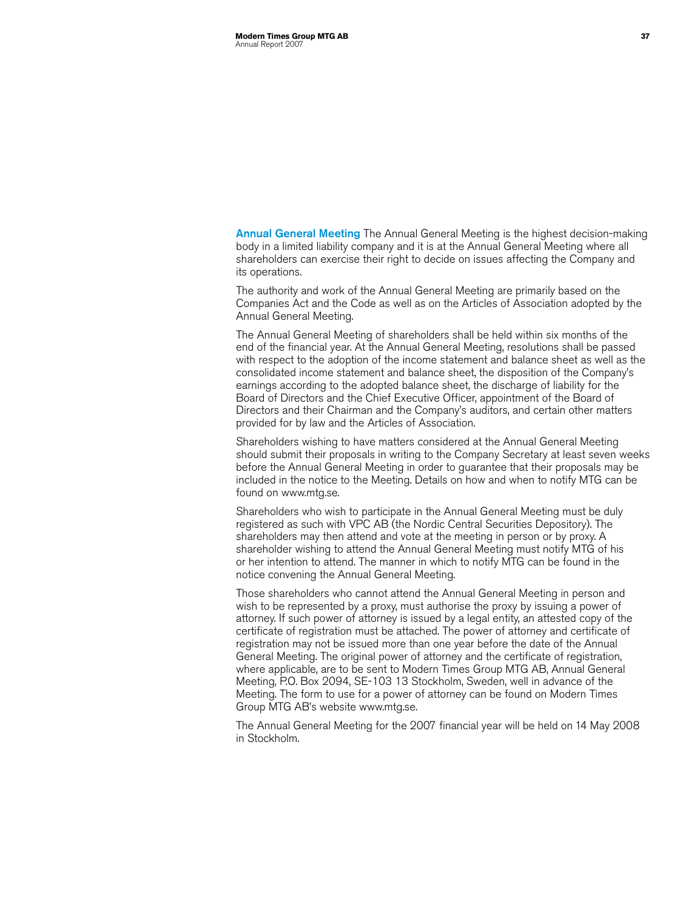Annual General Meeting The Annual General Meeting is the highest decision-making body in a limited liability company and it is at the Annual General Meeting where all shareholders can exercise their right to decide on issues affecting the Company and its operations.

The authority and work of the Annual General Meeting are primarily based on the Companies Act and the Code as well as on the Articles of Association adopted by the Annual General Meeting.

The Annual General Meeting of shareholders shall be held within six months of the end of the financial year. At the Annual General Meeting, resolutions shall be passed with respect to the adoption of the income statement and balance sheet as well as the consolidated income statement and balance sheet, the disposition of the Company's earnings according to the adopted balance sheet, the discharge of liability for the Board of Directors and the Chief Executive Officer, appointment of the Board of Directors and their Chairman and the Company's auditors, and certain other matters provided for by law and the Articles of Association.

Shareholders wishing to have matters considered at the Annual General Meeting should submit their proposals in writing to the Company Secretary at least seven weeks before the Annual General Meeting in order to guarantee that their proposals may be included in the notice to the Meeting. Details on how and when to notify MTG can be found on [www.mtg.se.](http://www.mtg.se)

Shareholders who wish to participate in the Annual General Meeting must be duly registered as such with VPC AB (the Nordic Central Securities Depository). The shareholders may then attend and vote at the meeting in person or by proxy. A shareholder wishing to attend the Annual General Meeting must notify MTG of his or her intention to attend. The manner in which to notify MTG can be found in the notice convening the Annual General Meeting.

Those shareholders who cannot attend the Annual General Meeting in person and wish to be represented by a proxy, must authorise the proxy by issuing a power of attorney. If such power of attorney is issued by a legal entity, an attested copy of the certificate of registration must be attached. The power of attorney and certificate of registration may not be issued more than one year before the date of the Annual General Meeting. The original power of attorney and the certificate of registration, where applicable, are to be sent to Modern Times Group MTG AB, Annual General Meeting, P.O. Box 2094, SE-103 13 Stockholm, Sweden, well in advance of the Meeting. The form to use for a power of attorney can be found on Modern Times Group MTG AB's website [www.mtg.se.](http://www.mtg.se)

The Annual General Meeting for the 2007 financial year will be held on 14 May 2008 in Stockholm.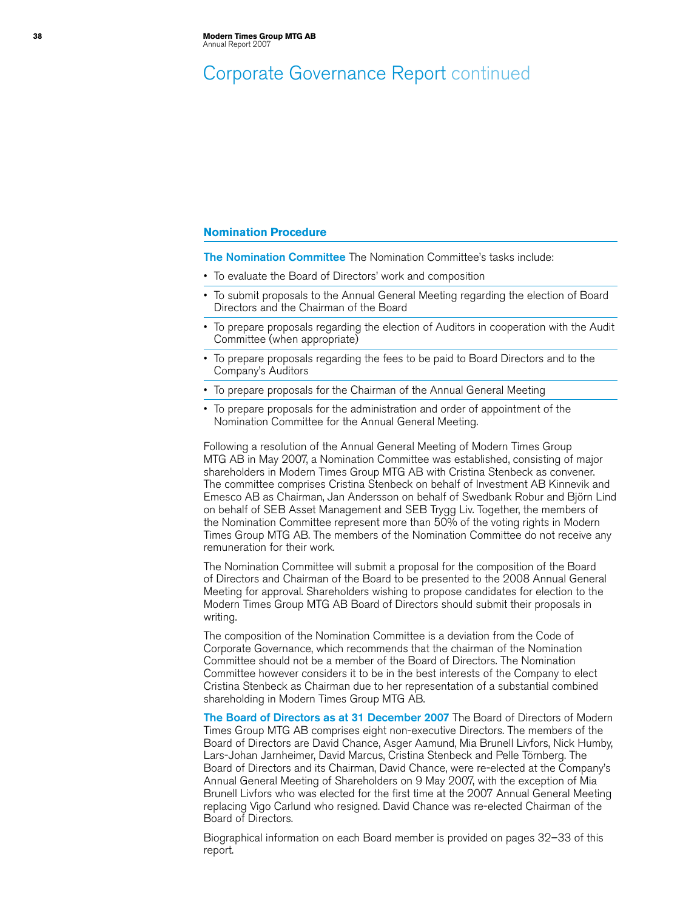# Corporate Governance Report continued

### **Nomination Procedure**

The Nomination Committee The Nomination Committee's tasks include:

- To evaluate the Board of Directors' work and composition
- To submit proposals to the Annual General Meeting regarding the election of Board Directors and the Chairman of the Board
- To prepare proposals regarding the election of Auditors in cooperation with the Audit Committee (when appropriate)
- To prepare proposals regarding the fees to be paid to Board Directors and to the Company's Auditors
- To prepare proposals for the Chairman of the Annual General Meeting
- • To prepare proposals for the administration and order of appointment of the Nomination Committee for the Annual General Meeting.

Following a resolution of the Annual General Meeting of Modern Times Group MTG AB in May 2007, a Nomination Committee was established, consisting of major shareholders in Modern Times Group MTG AB with Cristina Stenbeck as convener. The committee comprises Cristina Stenbeck on behalf of Investment AB Kinnevik and Emesco AB as Chairman, Jan Andersson on behalf of Swedbank Robur and Björn Lind on behalf of SEB Asset Management and SEB Trygg Liv. Together, the members of the Nomination Committee represent more than 50% of the voting rights in Modern Times Group MTG AB. The members of the Nomination Committee do not receive any remuneration for their work.

The Nomination Committee will submit a proposal for the composition of the Board of Directors and Chairman of the Board to be presented to the 2008 Annual General Meeting for approval. Shareholders wishing to propose candidates for election to the Modern Times Group MTG AB Board of Directors should submit their proposals in writing.

The composition of the Nomination Committee is a deviation from the Code of Corporate Governance, which recommends that the chairman of the Nomination Committee should not be a member of the Board of Directors. The Nomination Committee however considers it to be in the best interests of the Company to elect Cristina Stenbeck as Chairman due to her representation of a substantial combined shareholding in Modern Times Group MTG AB.

The Board of Directors as at 31 December 2007 The Board of Directors of Modern Times Group MTG AB comprises eight non-executive Directors. The members of the Board of Directors are David Chance, Asger Aamund, Mia Brunell Livfors, Nick Humby, Lars-Johan Jarnheimer, David Marcus, Cristina Stenbeck and Pelle Törnberg. The Board of Directors and its Chairman, David Chance, were re-elected at the Company's Annual General Meeting of Shareholders on 9 May 2007, with the exception of Mia Brunell Livfors who was elected for the first time at the 2007 Annual General Meeting replacing Vigo Carlund who resigned. David Chance was re-elected Chairman of the Board of Directors.

Biographical information on each Board member is provided on pages 32–33 of this report.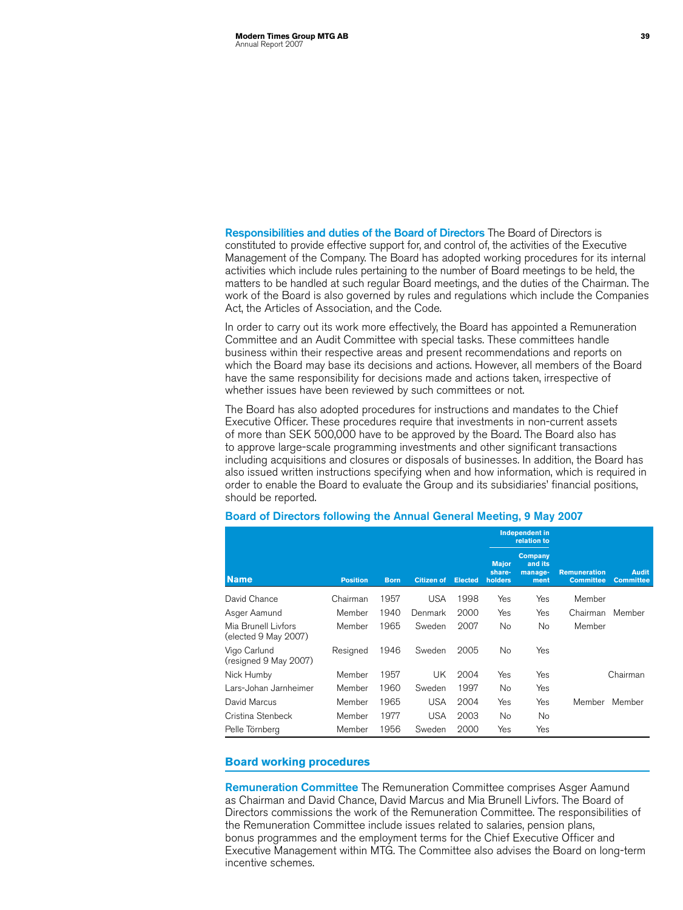Responsibilities and duties of the Board of Directors The Board of Directors is constituted to provide effective support for, and control of, the activities of the Executive Management of the Company. The Board has adopted working procedures for its internal activities which include rules pertaining to the number of Board meetings to be held, the matters to be handled at such regular Board meetings, and the duties of the Chairman. The work of the Board is also governed by rules and regulations which include the Companies Act, the Articles of Association, and the Code.

In order to carry out its work more effectively, the Board has appointed a Remuneration Committee and an Audit Committee with special tasks. These committees handle business within their respective areas and present recommendations and reports on which the Board may base its decisions and actions. However, all members of the Board have the same responsibility for decisions made and actions taken, irrespective of whether issues have been reviewed by such committees or not.

The Board has also adopted procedures for instructions and mandates to the Chief Executive Officer. These procedures require that investments in non-current assets of more than SEK 500,000 have to be approved by the Board. The Board also has to approve large-scale programming investments and other significant transactions including acquisitions and closures or disposals of businesses. In addition, the Board has also issued written instructions specifying when and how information, which is required in order to enable the Board to evaluate the Group and its subsidiaries' financial positions, should be reported.

|                                             |                 |             |                   |                |                                   | Independent in<br>relation to         |                                         |                                  |
|---------------------------------------------|-----------------|-------------|-------------------|----------------|-----------------------------------|---------------------------------------|-----------------------------------------|----------------------------------|
| <b>Name</b>                                 | <b>Position</b> | <b>Born</b> | <b>Citizen of</b> | <b>Elected</b> | <b>Major</b><br>share-<br>holders | Company<br>and its<br>manage-<br>ment | <b>Remuneration</b><br><b>Committee</b> | <b>Audit</b><br><b>Committee</b> |
| David Chance                                | Chairman        | 1957        | <b>USA</b>        | 1998           | Yes                               | Yes                                   | Member                                  |                                  |
| Asger Aamund                                | Member          | 1940        | Denmark           | 2000           | Yes                               | Yes                                   | Chairman                                | Member                           |
| Mia Brunell Livfors<br>(elected 9 May 2007) | Member          | 1965        | Sweden            | 2007           | No.                               | No                                    | Member                                  |                                  |
| Vigo Carlund<br>(resigned 9 May 2007)       | Resigned        | 1946        | Sweden            | 2005           | No                                | Yes                                   |                                         |                                  |
| Nick Humby                                  | Member          | 1957        | UK                | 2004           | Yes                               | Yes                                   |                                         | Chairman                         |
| Lars-Johan Jarnheimer                       | Member          | 1960        | Sweden            | 1997           | No                                | Yes                                   |                                         |                                  |
| David Marcus                                | Member          | 1965        | <b>USA</b>        | 2004           | Yes                               | Yes                                   | Member                                  | Member                           |
| Cristina Stenbeck                           | Member          | 1977        | <b>USA</b>        | 2003           | No                                | No                                    |                                         |                                  |
| Pelle Törnberg                              | Member          | 1956        | Sweden            | 2000           | Yes                               | Yes                                   |                                         |                                  |

# Board of Directors following the Annual General Meeting, 9 May 2007

## **Board working procedures**

Remuneration Committee The Remuneration Committee comprises Asger Aamund as Chairman and David Chance, David Marcus and Mia Brunell Livfors. The Board of Directors commissions the work of the Remuneration Committee. The responsibilities of the Remuneration Committee include issues related to salaries, pension plans, bonus programmes and the employment terms for the Chief Executive Officer and Executive Management within MTG. The Committee also advises the Board on long-term incentive schemes.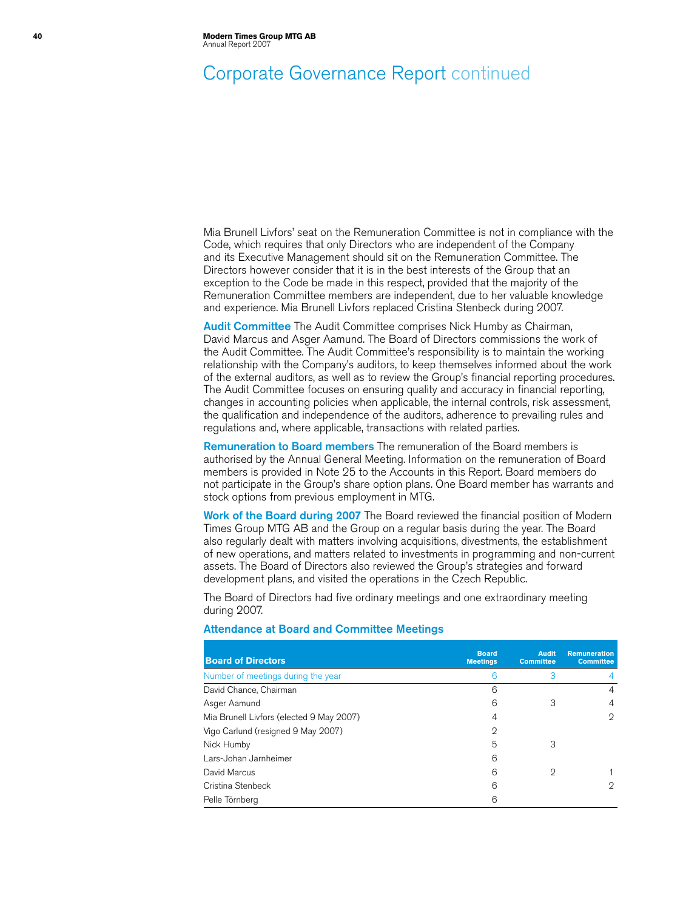# Corporate Governance Report continued

Mia Brunell Livfors' seat on the Remuneration Committee is not in compliance with the Code, which requires that only Directors who are independent of the Company and its Executive Management should sit on the Remuneration Committee. The Directors however consider that it is in the best interests of the Group that an exception to the Code be made in this respect, provided that the majority of the Remuneration Committee members are independent, due to her valuable knowledge and experience. Mia Brunell Livfors replaced Cristina Stenbeck during 2007.

Audit Committee The Audit Committee comprises Nick Humby as Chairman, David Marcus and Asger Aamund. The Board of Directors commissions the work of the Audit Committee. The Audit Committee's responsibility is to maintain the working relationship with the Company's auditors, to keep themselves informed about the work of the external auditors, as well as to review the Group's financial reporting procedures. The Audit Committee focuses on ensuring quality and accuracy in financial reporting, changes in accounting policies when applicable, the internal controls, risk assessment, the qualification and independence of the auditors, adherence to prevailing rules and regulations and, where applicable, transactions with related parties.

Remuneration to Board members The remuneration of the Board members is authorised by the Annual General Meeting. Information on the remuneration of Board members is provided in Note 25 to the Accounts in this Report. Board members do not participate in the Group's share option plans. One Board member has warrants and stock options from previous employment in MTG.

Work of the Board during 2007 The Board reviewed the financial position of Modern Times Group MTG AB and the Group on a regular basis during the year. The Board also regularly dealt with matters involving acquisitions, divestments, the establishment of new operations, and matters related to investments in programming and non-current assets. The Board of Directors also reviewed the Group's strategies and forward development plans, and visited the operations in the Czech Republic.

The Board of Directors had five ordinary meetings and one extraordinary meeting during 2007.

| <b>Board of Directors</b>                | <b>Board</b><br><b>Meetings</b> | <b>Audit</b><br><b>Committee</b> | <b>Remuneration</b><br><b>Committee</b> |
|------------------------------------------|---------------------------------|----------------------------------|-----------------------------------------|
| Number of meetings during the year       | 6                               | 3                                | 4                                       |
| David Chance, Chairman                   | 6                               |                                  | 4                                       |
| Asger Aamund                             | 6                               | З                                | 4                                       |
| Mia Brunell Livfors (elected 9 May 2007) | 4                               |                                  | $\overline{2}$                          |
| Vigo Carlund (resigned 9 May 2007)       | 2                               |                                  |                                         |
| Nick Humby                               | 5                               | З                                |                                         |
| Lars-Johan Jarnheimer                    | 6                               |                                  |                                         |
| David Marcus                             | 6                               | 2                                |                                         |
| Cristina Stenbeck                        | 6                               |                                  | 2                                       |
| Pelle Törnberg                           | 6                               |                                  |                                         |

### Attendance at Board and Committee Meetings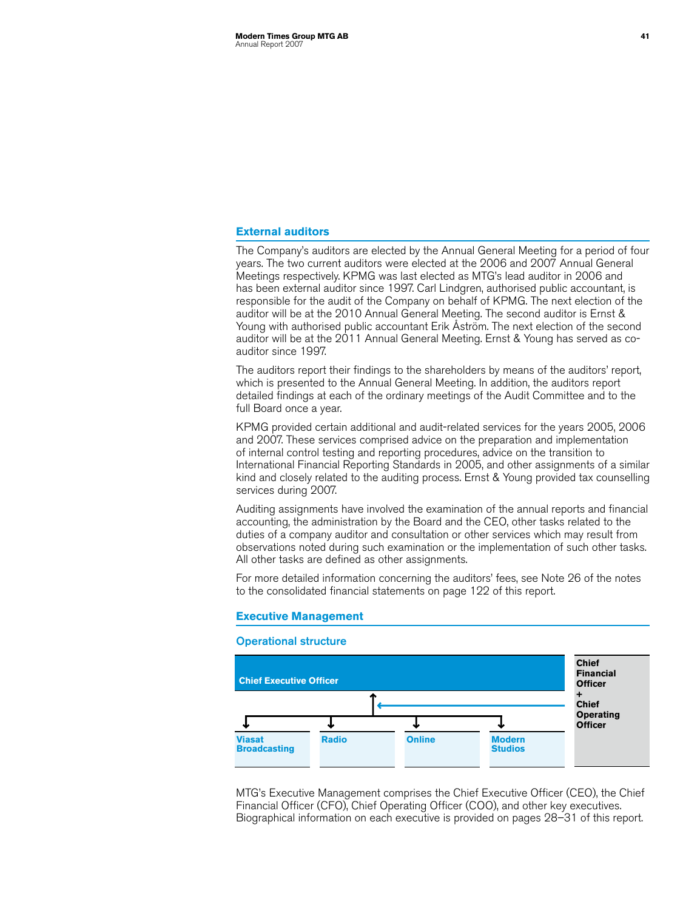## **External auditors**

The Company's auditors are elected by the Annual General Meeting for a period of four years. The two current auditors were elected at the 2006 and 2007 Annual General Meetings respectively. KPMG was last elected as MTG's lead auditor in 2006 and has been external auditor since 1997. Carl Lindgren, authorised public accountant, is responsible for the audit of the Company on behalf of KPMG. The next election of the auditor will be at the 2010 Annual General Meeting. The second auditor is Ernst & Young with authorised public accountant Erik Åström. The next election of the second auditor will be at the 2011 Annual General Meeting. Ernst & Young has served as coauditor since 1997.

The auditors report their findings to the shareholders by means of the auditors' report, which is presented to the Annual General Meeting. In addition, the auditors report detailed findings at each of the ordinary meetings of the Audit Committee and to the full Board once a year.

KPMG provided certain additional and audit-related services for the years 2005, 2006 and 2007. These services comprised advice on the preparation and implementation of internal control testing and reporting procedures, advice on the transition to International Financial Reporting Standards in 2005, and other assignments of a similar kind and closely related to the auditing process. Ernst & Young provided tax counselling services during 2007.

Auditing assignments have involved the examination of the annual reports and financial accounting, the administration by the Board and the CEO, other tasks related to the duties of a company auditor and consultation or other services which may result from observations noted during such examination or the implementation of such other tasks. All other tasks are defined as other assignments.

For more detailed information concerning the auditors' fees, see Note 26 of the notes to the consolidated financial statements on page 122 of this report.

#### **Executive Management**

#### Operational structure



MTG's Executive Management comprises the Chief Executive Officer (CEO), the Chief Financial Officer (CFO), Chief Operating Officer (COO), and other key executives. Biographical information on each executive is provided on pages 28–31 of this report.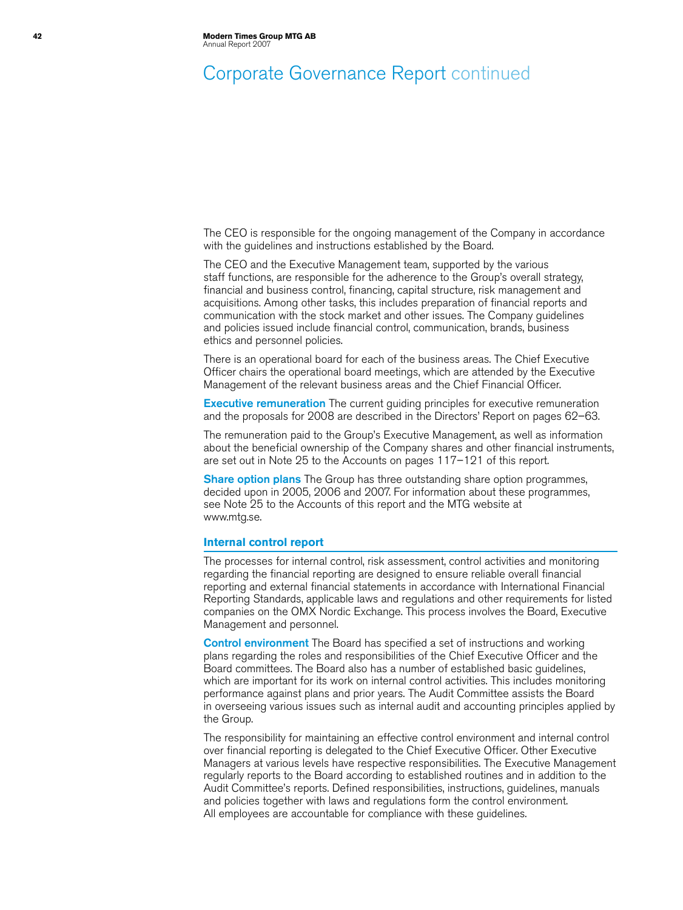# Corporate Governance Report continued

The CEO is responsible for the ongoing management of the Company in accordance with the guidelines and instructions established by the Board.

The CEO and the Executive Management team, supported by the various staff functions, are responsible for the adherence to the Group's overall strategy, financial and business control, financing, capital structure, risk management and acquisitions. Among other tasks, this includes preparation of financial reports and communication with the stock market and other issues. The Company guidelines and policies issued include financial control, communication, brands, business ethics and personnel policies.

There is an operational board for each of the business areas. The Chief Executive Officer chairs the operational board meetings, which are attended by the Executive Management of the relevant business areas and the Chief Financial Officer.

**Executive remuneration** The current guiding principles for executive remuneration and the proposals for 2008 are described in the Directors' Report on pages 62–63.

The remuneration paid to the Group's Executive Management, as well as information about the beneficial ownership of the Company shares and other financial instruments, are set out in Note 25 to the Accounts on pages 117–121 of this report.

**Share option plans** The Group has three outstanding share option programmes, decided upon in 2005, 2006 and 2007. For information about these programmes, see Note 25 to the Accounts of this report and the MTG website at [www.mtg.se.](http://www.mtg.se)

#### **Internal control report**

The processes for internal control, risk assessment, control activities and monitoring regarding the financial reporting are designed to ensure reliable overall financial reporting and external financial statements in accordance with International Financial Reporting Standards, applicable laws and regulations and other requirements for listed companies on the OMX Nordic Exchange. This process involves the Board, Executive Management and personnel.

**Control environment** The Board has specified a set of instructions and working plans regarding the roles and responsibilities of the Chief Executive Officer and the Board committees. The Board also has a number of established basic guidelines, which are important for its work on internal control activities. This includes monitoring performance against plans and prior years. The Audit Committee assists the Board in overseeing various issues such as internal audit and accounting principles applied by the Group.

The responsibility for maintaining an effective control environment and internal control over financial reporting is delegated to the Chief Executive Officer. Other Executive Managers at various levels have respective responsibilities. The Executive Management regularly reports to the Board according to established routines and in addition to the Audit Committee's reports. Defined responsibilities, instructions, guidelines, manuals and policies together with laws and regulations form the control environment. All employees are accountable for compliance with these guidelines.